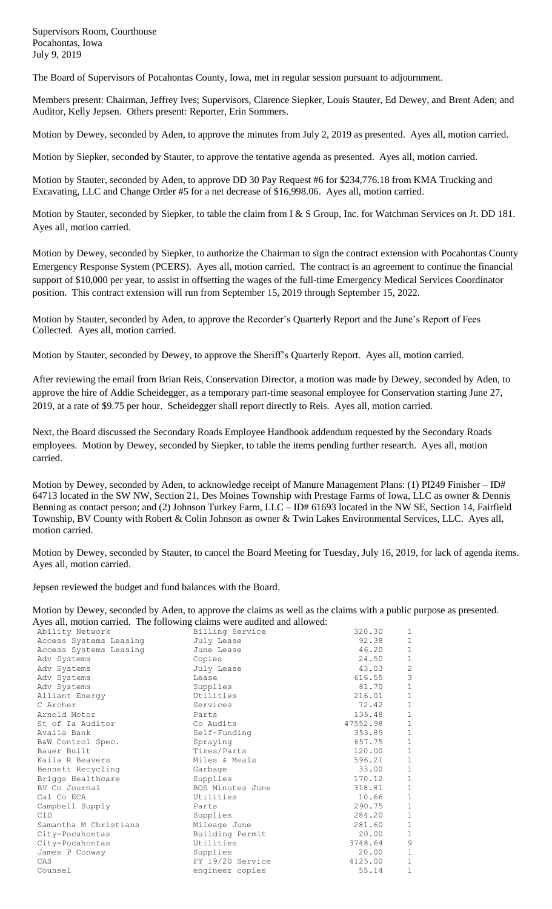Supervisors Room, Courthouse Pocahontas, Iowa July 9, 2019

The Board of Supervisors of Pocahontas County, Iowa, met in regular session pursuant to adjournment.

Members present: Chairman, Jeffrey Ives; Supervisors, Clarence Siepker, Louis Stauter, Ed Dewey, and Brent Aden; and Auditor, Kelly Jepsen. Others present: Reporter, Erin Sommers.

Motion by Dewey, seconded by Aden, to approve the minutes from July 2, 2019 as presented. Ayes all, motion carried.

Motion by Siepker, seconded by Stauter, to approve the tentative agenda as presented. Ayes all, motion carried.

Motion by Stauter, seconded by Aden, to approve DD 30 Pay Request #6 for \$234,776.18 from KMA Trucking and Excavating, LLC and Change Order #5 for a net decrease of \$16,998.06. Ayes all, motion carried.

Motion by Stauter, seconded by Siepker, to table the claim from I & S Group, Inc. for Watchman Services on Jt. DD 181. Ayes all, motion carried.

Motion by Dewey, seconded by Siepker, to authorize the Chairman to sign the contract extension with Pocahontas County Emergency Response System (PCERS). Ayes all, motion carried. The contract is an agreement to continue the financial support of \$10,000 per year, to assist in offsetting the wages of the full-time Emergency Medical Services Coordinator position. This contract extension will run from September 15, 2019 through September 15, 2022.

Motion by Stauter, seconded by Aden, to approve the Recorder's Quarterly Report and the June's Report of Fees Collected. Ayes all, motion carried.

Motion by Stauter, seconded by Dewey, to approve the Sheriff's Quarterly Report. Ayes all, motion carried.

After reviewing the email from Brian Reis, Conservation Director, a motion was made by Dewey, seconded by Aden, to approve the hire of Addie Scheidegger, as a temporary part-time seasonal employee for Conservation starting June 27, 2019, at a rate of \$9.75 per hour. Scheidegger shall report directly to Reis. Ayes all, motion carried.

Next, the Board discussed the Secondary Roads Employee Handbook addendum requested by the Secondary Roads employees. Motion by Dewey, seconded by Siepker, to table the items pending further research. Ayes all, motion carried.

Motion by Dewey, seconded by Aden, to acknowledge receipt of Manure Management Plans: (1) PI249 Finisher – ID# 64713 located in the SW NW, Section 21, Des Moines Township with Prestage Farms of Iowa, LLC as owner & Dennis Benning as contact person; and (2) Johnson Turkey Farm, LLC – ID# 61693 located in the NW SE, Section 14, Fairfield Township, BV County with Robert & Colin Johnson as owner & Twin Lakes Environmental Services, LLC. Ayes all, motion carried.

Motion by Dewey, seconded by Stauter, to cancel the Board Meeting for Tuesday, July 16, 2019, for lack of agenda items. Ayes all, motion carried.

Jepsen reviewed the budget and fund balances with the Board.

Motion by Dewey, seconded by Aden, to approve the claims as well as the claims with a public purpose as presented. Ayes all, motion carried. The following claims were audited and allowed:

| Ability Network        | Billing Service  | 320.30   | $1\,$          |
|------------------------|------------------|----------|----------------|
| Access Systems Leasing | July Lease       | 92.38    | $\mathbf{1}$   |
| Access Systems Leasing | June Lease       | 46.20    | $1\,$          |
| Adv Systems            | Copies           | 24.50    | $\mathbf 1$    |
| Adv Systems            | July Lease       | 43.03    | $\overline{c}$ |
| Adv Systems            | Lease            | 616.55   | $\overline{3}$ |
| Adv Systems            | Supplies         | 81.70    | $1\,$          |
| Alliant Energy         | Utilities        | 216.01   | $\overline{1}$ |
| C Archer               | Services         | 72.42    | $\mathbf{1}$   |
| Arnold Motor           | Parts            | 135.48   | $\mathbf{1}$   |
| St of Ia Auditor       | Co Audits        | 47552.98 | $\mathbf{1}$   |
| Availa Bank            | Self-Funding     | 353.89   | $\mathbf{1}$   |
| B&W Control Spec.      | Spraying         | 657.75   | $\mathbf{1}$   |
| Bauer Built            | Tires/Parts      | 120.00   | $1\,$          |
| Kaila R Beavers        | Miles & Meals    | 596.21   | $1\,$          |
| Bennett Recycling      | Garbage          | 33.00    | $\mathbf 1$    |
| Briggs Healthcare      | Supplies         | 170.12   | $\mathbf 1$    |
| BV Co Journal          | BOS Minutes June | 318.81   | $\mathbf{1}$   |
| Cal Co ECA             | Utilities        | 10.66    | $\mathbf{1}$   |
| Campbell Supply        | Parts            | 290.75   | $\mathbf 1$    |
| CID                    | Supplies         | 284.20   | $\mathbf{1}$   |
| Samantha M Christians  | Mileage June     | 281.60   | $\mathbf 1$    |
| City-Pocahontas        | Building Permit  | 20.00    | $1\,$          |
| City-Pocahontas        | Utilities        | 3748.64  | 9              |
| James P Conway         | Supplies         | 20.00    | $\mathbf{1}$   |
| CAS                    | FY 19/20 Service | 4125.00  | $\mathbf{1}$   |
| Counsel                | engineer copies  | 55.14    | $\mathbf{1}$   |
|                        |                  |          |                |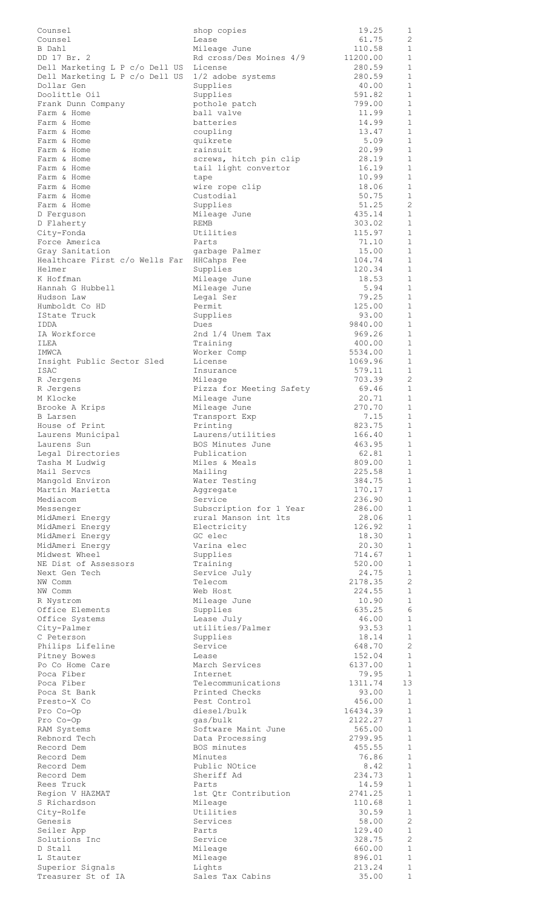| Counsel                                          | shop copies              | 19.25    | 1              |
|--------------------------------------------------|--------------------------|----------|----------------|
| Counsel                                          | Lease                    | 61.75    | 2              |
| B Dahl                                           | Mileage June             | 110.58   | 1              |
| DD 17 Br. 2                                      | Rd cross/Des Moines 4/9  | 11200.00 | $\mathbf{1}$   |
| Dell Marketing L P c/o Dell US License           |                          | 280.59   | $\mathbf{1}$   |
| Dell Marketing L P c/o Dell US 1/2 adobe systems |                          | 280.59   | $\mathbf{1}$   |
| Dollar Gen                                       | Supplies                 | 40.00    | $\mathbf{1}$   |
| Doolittle Oil                                    | Supplies                 | 591.82   | $\mathbf{1}$   |
| Frank Dunn Company                               | pothole patch            | 799.00   | $\mathbf{1}$   |
| Farm & Home                                      | ball valve               | 11.99    | $\mathbf{1}$   |
| Farm & Home                                      | batteries                | 14.99    | $\mathbf{1}$   |
| Farm & Home                                      | coupling                 | 13.47    | $\mathbf{1}$   |
| Farm & Home                                      | quikrete                 | 5.09     | $\mathbf{1}$   |
| Farm & Home                                      | rainsuit                 | 20.99    | $\mathbf{1}$   |
| Farm & Home                                      | screws, hitch pin clip   | 28.19    | $\mathbf{1}$   |
| Farm & Home                                      | tail light convertor     | 16.19    | $\mathbf{1}$   |
| Farm & Home                                      | tape                     | 10.99    | $\mathbf{1}$   |
| Farm & Home                                      |                          | 18.06    | $\mathbf{1}$   |
|                                                  | wire rope clip           |          |                |
| Farm & Home                                      | Custodial                | 50.75    | $\mathbf{1}$   |
| Farm & Home                                      | Supplies                 | 51.25    | 2              |
| D Ferquson                                       | Mileage June             | 435.14   | $\mathbf{1}$   |
| D Flaherty                                       | <b>REMB</b>              | 303.02   | $\mathbf{1}$   |
| City-Fonda                                       | Utilities                | 115.97   | $\mathbf{1}$   |
| Force America                                    | Parts                    | 71.10    | $\mathbf{1}$   |
| Gray Sanitation                                  | garbage Palmer           | 15.00    | $\mathbf{1}$   |
| Healthcare First c/o Wells Far                   | HHCahps Fee              | 104.74   | $\mathbf{1}$   |
| Helmer                                           | Supplies                 | 120.34   | $\mathbf{1}$   |
| K Hoffman                                        | Mileage June             | 18.53    | $\mathbf{1}$   |
| Hannah G Hubbell                                 | Mileage June             | 5.94     | $\mathbf{1}$   |
| Hudson Law                                       | Legal Ser                | 79.25    | $\mathbf{1}$   |
| Humboldt Co HD                                   | Permit                   | 125.00   | $\mathbf{1}$   |
| IState Truck                                     | Supplies                 | 93.00    | $\mathbf{1}$   |
| IDDA                                             | Dues                     | 9840.00  | $\mathbf{1}$   |
| IA Workforce                                     | $2nd$ $1/4$ Unem Tax     | 969.26   | $\mathbf{1}$   |
| ILEA                                             | Training                 | 400.00   | $\mathbf{1}$   |
| IMWCA                                            | Worker Comp              | 5534.00  | $\mathbf{1}$   |
| Insight Public Sector Sled                       | License                  | 1069.96  | $\mathbf{1}$   |
| ISAC                                             | Insurance                | 579.11   | $\mathbf{1}$   |
| R Jergens                                        | Mileage                  | 703.39   | 2              |
|                                                  | Pizza for Meeting Safety | 69.46    | $\mathbf{1}$   |
| R Jergens                                        |                          |          | $\mathbf{1}$   |
| M Klocke                                         | Mileage June             | 20.71    |                |
| Brooke A Krips                                   | Mileage June             | 270.70   | $\mathbf{1}$   |
| <b>B</b> Larsen                                  | Transport Exp            | 7.15     | $\mathbf{1}$   |
| House of Print                                   | Printing                 | 823.75   | $\mathbf{1}$   |
| Laurens Municipal                                | Laurens/utilities        | 166.40   | 1              |
| Laurens Sun                                      | BOS Minutes June         | 463.95   | $\mathbf{1}$   |
| Legal Directories                                | Publication              | 62.81    | $\mathbf{1}$   |
| Tasha M Ludwig                                   | Miles & Meals            | 809.00   | $\mathbf{1}$   |
| Mail Servcs                                      | Mailing                  | 225.58   | $\mathbf{1}$   |
| Mangold Environ                                  | Water Testing            | 384.75   | $\mathbf{1}$   |
| Martin Marietta                                  | Aggregate                | 170.17   | $\mathbf{1}$   |
| Mediacom                                         | Service                  | 236.90   | $\mathbf{1}$   |
| Messenger                                        | Subscription for 1 Year  | 286.00   | $\mathbf{1}$   |
| MidAmeri Energy                                  | rural Manson int lts     | 28.06    | $\mathbf{1}$   |
| MidAmeri Energy                                  | Electricity              | 126.92   | $\mathbf{1}$   |
| MidAmeri Energy                                  | GC elec                  | 18.30    | $\mathbf{1}$   |
| MidAmeri Energy                                  | Varina elec              | 20.30    | $\mathbf{1}$   |
| Midwest Wheel                                    | Supplies                 | 714.67   | $\mathbf{1}$   |
| NE Dist of Assessors                             | Training                 | 520.00   | $\mathbf{1}$   |
| Next Gen Tech                                    | Service July             | 24.75    | $\mathbf{1}$   |
| NW Comm                                          | Telecom                  | 2178.35  | 2              |
| NW Comm                                          | Web Host                 | 224.55   | $\mathbf{1}$   |
| R Nystrom                                        | Mileage June             | 10.90    | $\mathbf{1}$   |
| Office Elements                                  | Supplies                 | 635.25   | 6              |
| Office Systems                                   | Lease July               | 46.00    | $\mathbf{1}$   |
| City-Palmer                                      | utilities/Palmer         | 93.53    | $\mathbf{1}$   |
| C Peterson                                       |                          | 18.14    | $\mathbf{1}$   |
|                                                  | Supplies<br>Service      | 648.70   | $\overline{c}$ |
| Philips Lifeline                                 |                          |          | $\mathbf{1}$   |
| Pitney Bowes                                     | Lease                    | 152.04   |                |
| Po Co Home Care                                  | March Services           | 6137.00  | $\mathbf{1}$   |
| Poca Fiber                                       | Internet                 | 79.95    | 1              |
| Poca Fiber                                       | Telecommunications       | 1311.74  | 13             |
| Poca St Bank                                     | Printed Checks           | 93.00    | 1              |
| Presto-X Co                                      | Pest Control             | 456.00   | 1              |
| Pro Co-Op                                        | diesel/bulk              | 16434.39 | $\mathbf{1}$   |
| Pro Co-Op                                        | gas/bulk                 | 2122.27  | $\mathbf{1}$   |
| RAM Systems                                      | Software Maint June      | 565.00   | $\mathbf{1}$   |
| Rebnord Tech                                     | Data Processing          | 2799.95  | $\mathbf{1}$   |
| Record Dem                                       | BOS minutes              | 455.55   | $\mathbf{1}$   |
| Record Dem                                       | Minutes                  | 76.86    | $\mathbf{1}$   |
| Record Dem                                       | Public NOtice            | 8.42     | $\mathbf{1}$   |
| Record Dem                                       | Sheriff Ad               | 234.73   | $\mathbf{1}$   |
| Rees Truck                                       | Parts                    | 14.59    | $\mathbf{1}$   |
| Region V HAZMAT                                  | 1st Qtr Contribution     | 2741.25  | $\mathbf{1}$   |
| S Richardson                                     | Mileage                  | 110.68   | $\mathbf{1}$   |
| City-Rolfe                                       | Utilities                | 30.59    | $\mathbf{1}$   |
| Genesis                                          | Services                 | 58.00    | 2              |
| Seiler App                                       | Parts                    | 129.40   | $\mathbf{1}$   |
| Solutions Inc                                    | Service                  | 328.75   | $\mathbf{2}$   |
| D Stall                                          | Mileage                  | 660.00   | $1\,$          |
| L Stauter                                        | Mileage                  | 896.01   | $\mathbf{1}$   |
| Superior Signals                                 | Lights                   | 213.24   | $\mathbf{1}$   |
| Treasurer St of IA                               | Sales Tax Cabins         | 35.00    | $1\,$          |
|                                                  |                          |          |                |